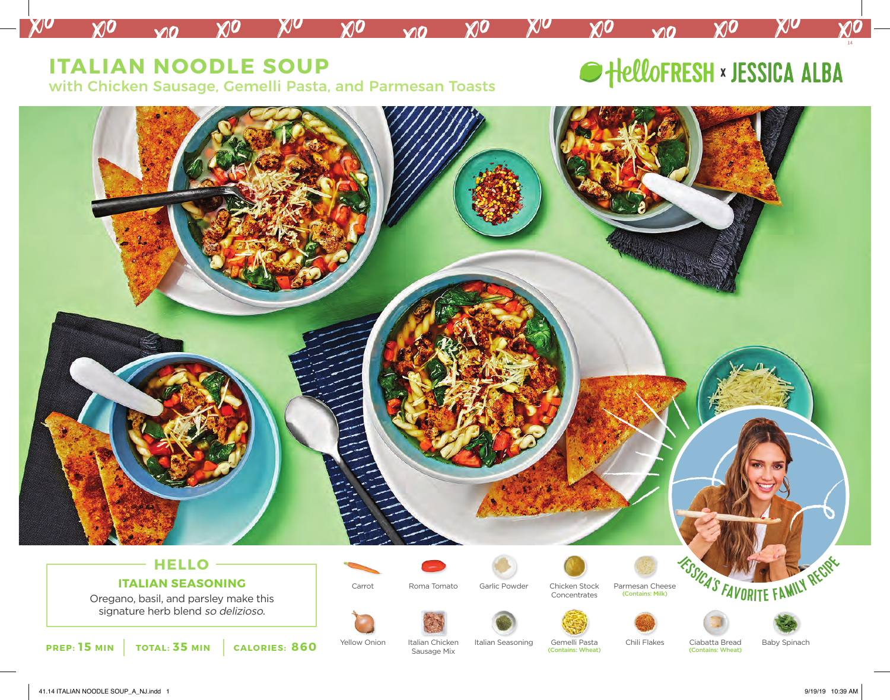## **ITALIAN NOODLE SOUP**

 $M<sub>0</sub>$ 

 $\chi$ 

**XIO** 

 $\chi$ <sub>0</sub>

with Chicken Sausage, Gemelli Pasta, and Parmesan Toasts

KIO

 $\chi$ <sub>1</sub>0

 $M<sub>0</sub>$ 

# HelloFRESH × JESSICA ALBA

 $\mathbf{v}$ 

 $\chi$ <sub>0</sub>

14

 $\bm{\mathcal{X}}$ l $\bm{\mathcal{O}}$ 

XIO



XIU

 $X$ <sub>0</sub>

 $X$